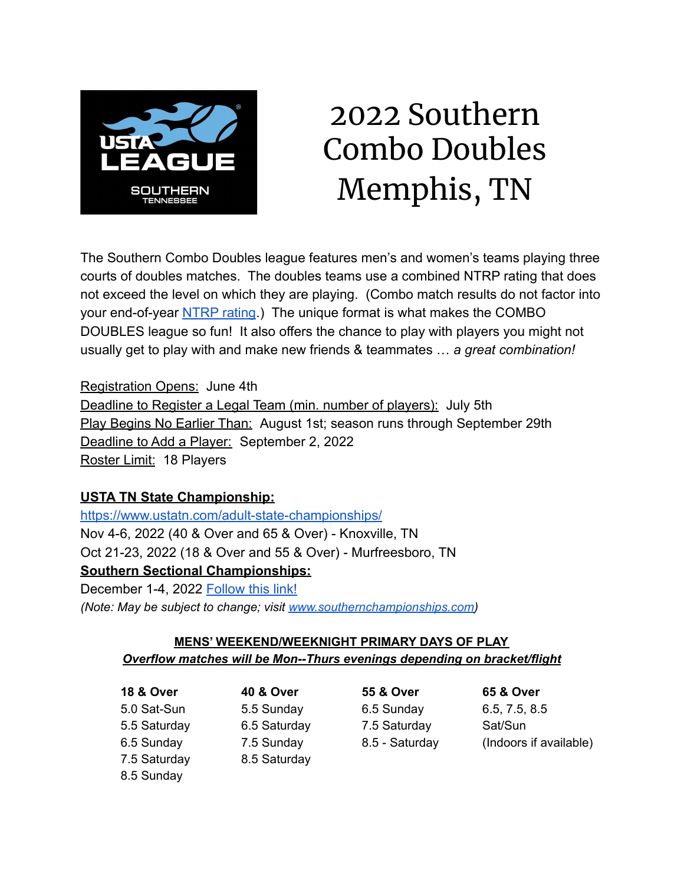

# 2022 Southern Combo Doubles Memphis, TN

The Southern Combo Doubles league features men's and women's teams playing three courts of doubles matches. The doubles teams use a combined NTRP rating that does not exceed the level on which they are playing. (Combo match results do not factor into your end-of-year [NTRP rating](https://www.usta.com/en/home/play/adult-tennis/programs/national/usta-league-faqs.html).) The unique format is what makes the COMBO DOUBLES league so fun! It also offers the chance to play with players you might not usually get to play with and make new friends & teammates … *a great combination!*

Registration Opens: June 4th Deadline to Register a Legal Team (min. number of players): July 5th Play Begins No Earlier Than: August 1st; season runs through September 29th Deadline to Add a Player: September 2, 2022 Roster Limit: 18 Players

# **USTA TN State Championship:**

<https://www.ustatn.com/adult-state-championships/> Nov 4-6, 2022 (40 & Over and 65 & Over) - Knoxville, TN Oct 21-23, 2022 (18 & Over and 55 & Over) - Murfreesboro, TN **Southern Sectional Championships:** December 1-4, 2022 [Follow this link!](http://southernchampionships.com/wp/wp-content/uploads/2022/05/2022_USTA_Southern_League_Championships.pdf)

*(Note: May be subject to change; visit [www.southernchampionships.com\)](http://www.southernchampionships.com)*

### **MENS' WEEKEND/WEEKNIGHT PRIMARY DAYS OF PLAY** *Overflow matches will be Mon--Thurs evenings depending on bracket/flight*

| <b>18 &amp; Over</b> |
|----------------------|
| 5.0 Sat-Sun          |
| 5.5 Saturday         |
| 6.5 Sunday           |
| 7.5 Saturday         |
| 8.5 Sunday           |

- **18 & Over 40 & Over 55 & Over 65 & Over** 5.5 Sunday 6.5 Sunday 6.5, 7.5, 8.5 5.5 Saturday 6.5 Saturday 7.5 Saturday Sat/Sun 8.5 Saturday
	-

6.5 Sunday 7.5 Sunday 8.5 - Saturday (Indoors if available)